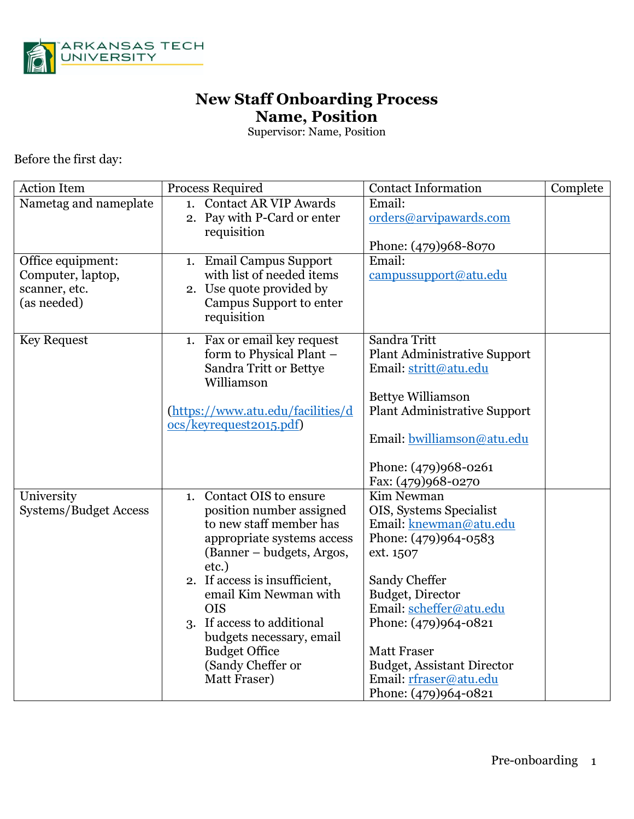

## **New Staff Onboarding Process Name, Position**

Supervisor: Name, Position

Before the first day:

| <b>Action Item</b>                 | <b>Process Required</b>                               | <b>Contact Information</b>                     | Complete |
|------------------------------------|-------------------------------------------------------|------------------------------------------------|----------|
| Nametag and nameplate              | 1. Contact AR VIP Awards                              | Email:                                         |          |
|                                    | 2. Pay with P-Card or enter                           | orders@arvipawards.com                         |          |
|                                    | requisition                                           |                                                |          |
|                                    |                                                       | Phone: (479)968-8070                           |          |
| Office equipment:                  | 1. Email Campus Support                               | Email:                                         |          |
| Computer, laptop,<br>scanner, etc. | with list of needed items<br>2. Use quote provided by | campussupport@atu.edu                          |          |
| (as needed)                        | Campus Support to enter                               |                                                |          |
|                                    | requisition                                           |                                                |          |
|                                    |                                                       |                                                |          |
| <b>Key Request</b>                 | 1. Fax or email key request                           | Sandra Tritt                                   |          |
|                                    | form to Physical Plant -                              | <b>Plant Administrative Support</b>            |          |
|                                    | Sandra Tritt or Bettye<br>Williamson                  | Email: stritt@atu.edu                          |          |
|                                    |                                                       | <b>Bettye Williamson</b>                       |          |
|                                    | (https://www.atu.edu/facilities/d                     | <b>Plant Administrative Support</b>            |          |
|                                    | ocs/keyrequest2015.pdf)                               |                                                |          |
|                                    |                                                       | Email: bwilliamson@atu.edu                     |          |
|                                    |                                                       |                                                |          |
|                                    |                                                       | Phone: (479)968-0261                           |          |
|                                    |                                                       | Fax: (479)968-0270                             |          |
| University                         | Contact OIS to ensure<br>1.                           | Kim Newman                                     |          |
| <b>Systems/Budget Access</b>       | position number assigned<br>to new staff member has   | OIS, Systems Specialist                        |          |
|                                    | appropriate systems access                            | Email: knewman@atu.edu<br>Phone: (479)964-0583 |          |
|                                    | (Banner – budgets, Argos,                             | ext. 1507                                      |          |
|                                    | etc.)                                                 |                                                |          |
|                                    | 2. If access is insufficient,                         | Sandy Cheffer                                  |          |
|                                    | email Kim Newman with                                 | Budget, Director                               |          |
|                                    | <b>OIS</b>                                            | Email: scheffer@atu.edu                        |          |
|                                    | 3. If access to additional                            | Phone: (479)964-0821                           |          |
|                                    | budgets necessary, email                              |                                                |          |
|                                    | <b>Budget Office</b>                                  | <b>Matt Fraser</b>                             |          |
|                                    | (Sandy Cheffer or                                     | <b>Budget, Assistant Director</b>              |          |
|                                    | Matt Fraser)                                          | Email: rfraser@atu.edu                         |          |
|                                    |                                                       | Phone: (479)964-0821                           |          |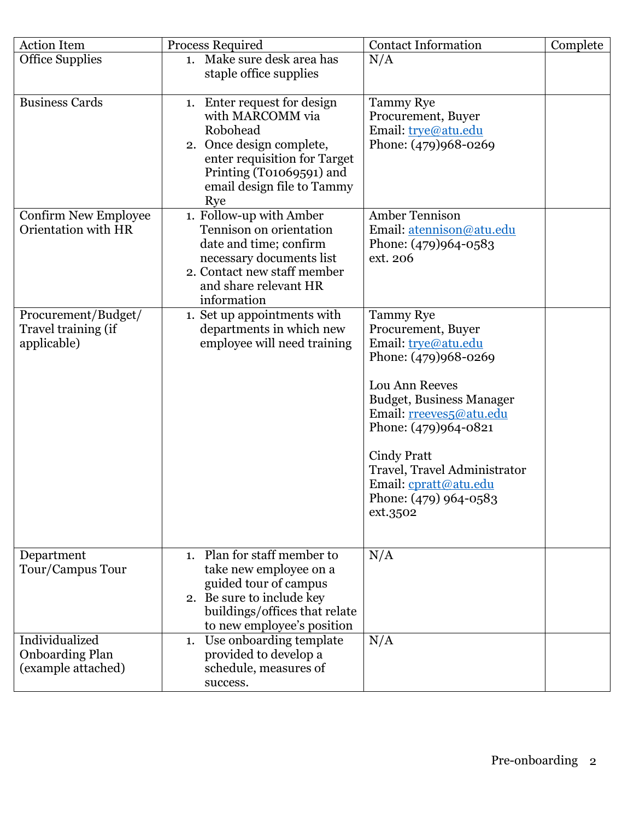| <b>Action Item</b>                                             | <b>Process Required</b>                                                                                                                                                                  | <b>Contact Information</b>                                                                                                                                                                                                                                                                                 | Complete |
|----------------------------------------------------------------|------------------------------------------------------------------------------------------------------------------------------------------------------------------------------------------|------------------------------------------------------------------------------------------------------------------------------------------------------------------------------------------------------------------------------------------------------------------------------------------------------------|----------|
| Office Supplies                                                | 1. Make sure desk area has                                                                                                                                                               | N/A                                                                                                                                                                                                                                                                                                        |          |
|                                                                | staple office supplies                                                                                                                                                                   |                                                                                                                                                                                                                                                                                                            |          |
| <b>Business Cards</b>                                          | 1. Enter request for design<br>with MARCOMM via<br>Robohead<br>2. Once design complete,<br>enter requisition for Target<br>Printing (T01069591) and<br>email design file to Tammy<br>Rye | <b>Tammy Rye</b><br>Procurement, Buyer<br>Email: trye@atu.edu<br>Phone: (479)968-0269                                                                                                                                                                                                                      |          |
| <b>Confirm New Employee</b><br>Orientation with HR             | 1. Follow-up with Amber<br>Tennison on orientation<br>date and time; confirm<br>necessary documents list<br>2. Contact new staff member<br>and share relevant HR<br>information          | <b>Amber Tennison</b><br>Email: atennison@atu.edu<br>Phone: (479)964-0583<br>ext. 206                                                                                                                                                                                                                      |          |
| Procurement/Budget/<br>Travel training (if<br>applicable)      | 1. Set up appointments with<br>departments in which new<br>employee will need training                                                                                                   | <b>Tammy Rye</b><br>Procurement, Buyer<br>Email: trye@atu.edu<br>Phone: (479)968-0269<br>Lou Ann Reeves<br>Budget, Business Manager<br>Email: rreeves5@atu.edu<br>Phone: (479)964-0821<br><b>Cindy Pratt</b><br>Travel, Travel Administrator<br>Email: cpratt@atu.edu<br>Phone: (479) 964-0583<br>ext.3502 |          |
| Department<br>Tour/Campus Tour                                 | 1. Plan for staff member to<br>take new employee on a<br>guided tour of campus<br>2. Be sure to include key<br>buildings/offices that relate<br>to new employee's position               | N/A                                                                                                                                                                                                                                                                                                        |          |
| Individualized<br><b>Onboarding Plan</b><br>(example attached) | Use onboarding template<br>1.<br>provided to develop a<br>schedule, measures of<br>success.                                                                                              | N/A                                                                                                                                                                                                                                                                                                        |          |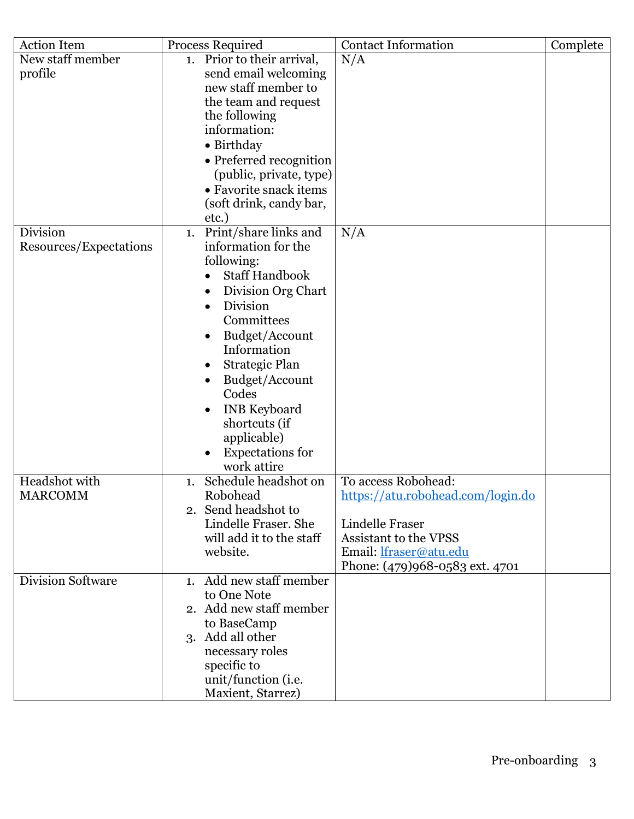| <b>Action Item</b>     | Process Required                                                                                                                                                                                                                                                          | <b>Contact Information</b>                                                                                         | Complete |
|------------------------|---------------------------------------------------------------------------------------------------------------------------------------------------------------------------------------------------------------------------------------------------------------------------|--------------------------------------------------------------------------------------------------------------------|----------|
| New staff member       | 1. Prior to their arrival,                                                                                                                                                                                                                                                | N/A                                                                                                                |          |
| profile                | send email welcoming                                                                                                                                                                                                                                                      |                                                                                                                    |          |
|                        | new staff member to                                                                                                                                                                                                                                                       |                                                                                                                    |          |
|                        | the team and request                                                                                                                                                                                                                                                      |                                                                                                                    |          |
|                        | the following                                                                                                                                                                                                                                                             |                                                                                                                    |          |
|                        | information:                                                                                                                                                                                                                                                              |                                                                                                                    |          |
|                        | • Birthday                                                                                                                                                                                                                                                                |                                                                                                                    |          |
|                        | • Preferred recognition                                                                                                                                                                                                                                                   |                                                                                                                    |          |
|                        | (public, private, type)                                                                                                                                                                                                                                                   |                                                                                                                    |          |
|                        | • Favorite snack items                                                                                                                                                                                                                                                    |                                                                                                                    |          |
|                        | (soft drink, candy bar,                                                                                                                                                                                                                                                   |                                                                                                                    |          |
|                        | etc.)                                                                                                                                                                                                                                                                     |                                                                                                                    |          |
| Division               | Print/share links and<br>1.                                                                                                                                                                                                                                               | N/A                                                                                                                |          |
| Resources/Expectations | information for the                                                                                                                                                                                                                                                       |                                                                                                                    |          |
|                        | following:                                                                                                                                                                                                                                                                |                                                                                                                    |          |
|                        | <b>Staff Handbook</b>                                                                                                                                                                                                                                                     |                                                                                                                    |          |
|                        | Division Org Chart                                                                                                                                                                                                                                                        |                                                                                                                    |          |
|                        | Division                                                                                                                                                                                                                                                                  |                                                                                                                    |          |
|                        | Committees                                                                                                                                                                                                                                                                |                                                                                                                    |          |
|                        | Budget/Account                                                                                                                                                                                                                                                            |                                                                                                                    |          |
|                        | Information                                                                                                                                                                                                                                                               |                                                                                                                    |          |
|                        | <b>Strategic Plan</b>                                                                                                                                                                                                                                                     |                                                                                                                    |          |
|                        | Budget/Account                                                                                                                                                                                                                                                            |                                                                                                                    |          |
|                        | Codes                                                                                                                                                                                                                                                                     |                                                                                                                    |          |
|                        | <b>INB</b> Keyboard                                                                                                                                                                                                                                                       |                                                                                                                    |          |
|                        | shortcuts (if                                                                                                                                                                                                                                                             |                                                                                                                    |          |
|                        | applicable)                                                                                                                                                                                                                                                               |                                                                                                                    |          |
|                        | <b>Expectations</b> for                                                                                                                                                                                                                                                   |                                                                                                                    |          |
|                        | work attire                                                                                                                                                                                                                                                               |                                                                                                                    |          |
| Headshot with          | Schedule headshot on<br>1.                                                                                                                                                                                                                                                | To access Robohead:                                                                                                |          |
| <b>MARCOMM</b>         | Robohead                                                                                                                                                                                                                                                                  | https://atu.robohead.com/login.do                                                                                  |          |
|                        |                                                                                                                                                                                                                                                                           |                                                                                                                    |          |
|                        |                                                                                                                                                                                                                                                                           |                                                                                                                    |          |
|                        |                                                                                                                                                                                                                                                                           |                                                                                                                    |          |
|                        |                                                                                                                                                                                                                                                                           |                                                                                                                    |          |
|                        |                                                                                                                                                                                                                                                                           |                                                                                                                    |          |
|                        |                                                                                                                                                                                                                                                                           |                                                                                                                    |          |
|                        |                                                                                                                                                                                                                                                                           |                                                                                                                    |          |
|                        |                                                                                                                                                                                                                                                                           |                                                                                                                    |          |
|                        |                                                                                                                                                                                                                                                                           |                                                                                                                    |          |
|                        |                                                                                                                                                                                                                                                                           |                                                                                                                    |          |
|                        |                                                                                                                                                                                                                                                                           |                                                                                                                    |          |
|                        |                                                                                                                                                                                                                                                                           |                                                                                                                    |          |
|                        |                                                                                                                                                                                                                                                                           |                                                                                                                    |          |
| Division Software      | 2. Send headshot to<br>Lindelle Fraser. She<br>will add it to the staff<br>website.<br>1. Add new staff member<br>to One Note<br>2. Add new staff member<br>to BaseCamp<br>3. Add all other<br>necessary roles<br>specific to<br>unit/function (i.e.<br>Maxient, Starrez) | Lindelle Fraser<br><b>Assistant to the VPSS</b><br>Email: <i>lfraser@atu.edu</i><br>Phone: (479)968-0583 ext. 4701 |          |